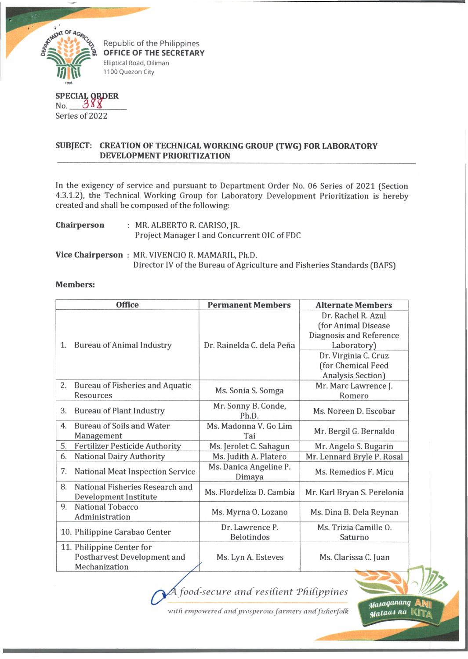

Republic of the Philippines **OFFICE OF THE SECRETARY** Elliptical Road, Diliman 1100 Quezon City

## **SPECIAL QRD** No. Series of 2022 **ER**

## **SUBJECT: CREATION OF TECHNICAL WORKING GROUP (TWG) FOR LABORATORY DEVELOPMENT PRIORITIZATION**

In the exigency of service and pursuant to Department Order No. 06 Series of 2021 (Section 4.3.1.2), the Technical Working Group for Laboratory Development Prioritization is hereby created and shall be composed of the following:

| Chairperson | : MR. ALBERTO R. CARISO, JR.                |
|-------------|---------------------------------------------|
|             | Project Manager I and Concurrent OIC of FDC |

**Vice Chairperson** : MR. VIVENCIO R. MAMARIL, Ph.D. Director IV of the Bureau of Agriculture and Fisheries Standards (BAFS)

## **Members:**

|    | <b>Office</b>                                                             | <b>Permanent Members</b>             | <b>Alternate Members</b>                                                                                                          |
|----|---------------------------------------------------------------------------|--------------------------------------|-----------------------------------------------------------------------------------------------------------------------------------|
| 1. | <b>Bureau of Animal Industry</b>                                          | Dr. Rainelda C. dela Peña            | Dr. Rachel R. Azul<br>(for Animal Disease<br>Diagnosis and Reference<br>Laboratory)<br>Dr. Virginia C. Cruz<br>(for Chemical Feed |
| 2. | Bureau of Fisheries and Aquatic<br>Resources                              | Ms. Sonia S. Somga                   | Analysis Section)<br>Mr. Marc Lawrence J.<br>Romero                                                                               |
| 3. | <b>Bureau of Plant Industry</b>                                           | Mr. Sonny B. Conde,<br>Ph.D.         | Ms. Noreen D. Escobar                                                                                                             |
| 4. | <b>Bureau of Soils and Water</b><br>Management                            | Ms. Madonna V. Go Lim<br>Tai         | Mr. Bergil G. Bernaldo                                                                                                            |
| 5. | <b>Fertilizer Pesticide Authority</b>                                     | Ms. Jerolet C. Sahagun               | Mr. Angelo S. Bugarin                                                                                                             |
| 6. | <b>National Dairy Authority</b>                                           | Ms. Judith A. Platero                | Mr. Lennard Bryle P. Rosal                                                                                                        |
| 7. | <b>National Meat Inspection Service</b>                                   | Ms. Danica Angeline P.<br>Dimaya     | Ms. Remedios F. Micu                                                                                                              |
| 8. | National Fisheries Research and<br><b>Development Institute</b>           | Ms. Flordeliza D. Cambia             | Mr. Karl Bryan S. Perelonia                                                                                                       |
| 9. | <b>National Tobacco</b><br>Administration                                 | Ms. Myrna O. Lozano                  | Ms. Dina B. Dela Reynan                                                                                                           |
|    | 10. Philippine Carabao Center                                             | Dr. Lawrence P.<br><b>Belotindos</b> | Ms. Trizia Camille O.<br>Saturno                                                                                                  |
|    | 11. Philippine Center for<br>Postharvest Development and<br>Mechanization | Ms. Lyn A. Esteves                   | Ms. Clarissa C. Juan                                                                                                              |

*food-secure and resilient 'Philippines*

with empowered and prosperous farmers and fisherfolk

*^ a ia g a n u n g* **ANb Malaas na**